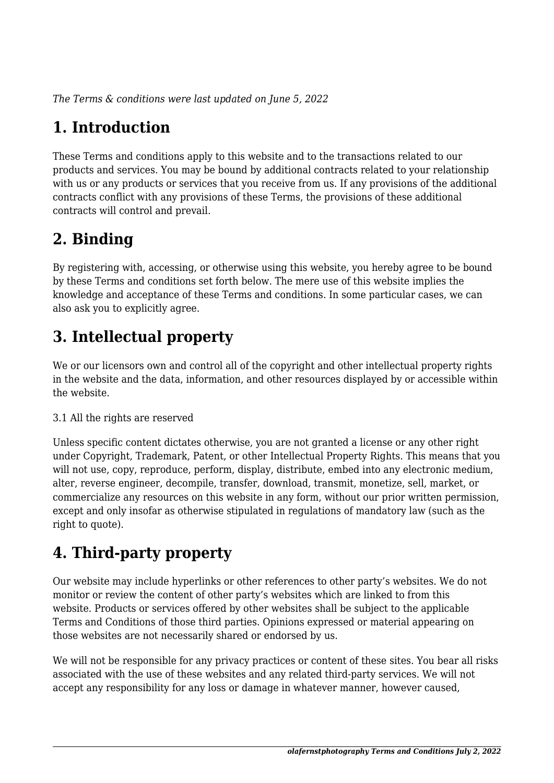*The Terms & conditions were last updated on June 5, 2022*

# **1. Introduction**

These Terms and conditions apply to this website and to the transactions related to our products and services. You may be bound by additional contracts related to your relationship with us or any products or services that you receive from us. If any provisions of the additional contracts conflict with any provisions of these Terms, the provisions of these additional contracts will control and prevail.

## **2. Binding**

By registering with, accessing, or otherwise using this website, you hereby agree to be bound by these Terms and conditions set forth below. The mere use of this website implies the knowledge and acceptance of these Terms and conditions. In some particular cases, we can also ask you to explicitly agree.

# **3. Intellectual property**

We or our licensors own and control all of the copyright and other intellectual property rights in the website and the data, information, and other resources displayed by or accessible within the website.

#### 3.1 All the rights are reserved

Unless specific content dictates otherwise, you are not granted a license or any other right under Copyright, Trademark, Patent, or other Intellectual Property Rights. This means that you will not use, copy, reproduce, perform, display, distribute, embed into any electronic medium, alter, reverse engineer, decompile, transfer, download, transmit, monetize, sell, market, or commercialize any resources on this website in any form, without our prior written permission, except and only insofar as otherwise stipulated in regulations of mandatory law (such as the right to quote).

# **4. Third-party property**

Our website may include hyperlinks or other references to other party's websites. We do not monitor or review the content of other party's websites which are linked to from this website. Products or services offered by other websites shall be subject to the applicable Terms and Conditions of those third parties. Opinions expressed or material appearing on those websites are not necessarily shared or endorsed by us.

We will not be responsible for any privacy practices or content of these sites. You bear all risks associated with the use of these websites and any related third-party services. We will not accept any responsibility for any loss or damage in whatever manner, however caused,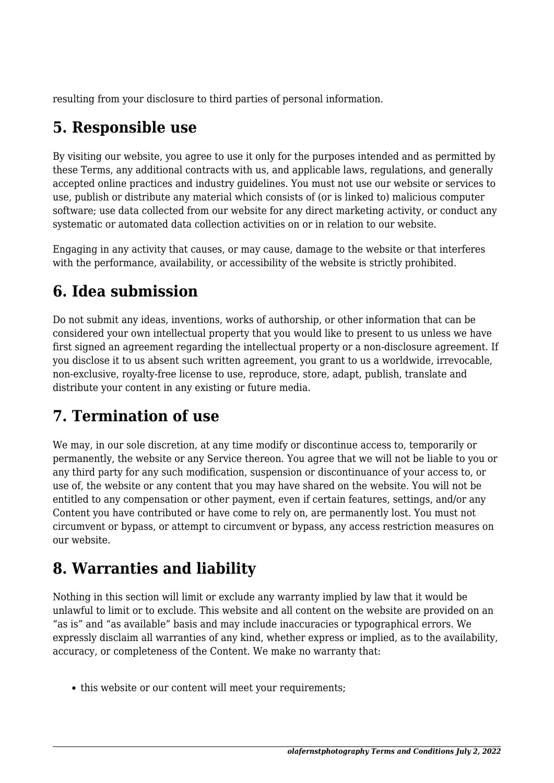resulting from your disclosure to third parties of personal information.

## **5. Responsible use**

By visiting our website, you agree to use it only for the purposes intended and as permitted by these Terms, any additional contracts with us, and applicable laws, regulations, and generally accepted online practices and industry guidelines. You must not use our website or services to use, publish or distribute any material which consists of (or is linked to) malicious computer software; use data collected from our website for any direct marketing activity, or conduct any systematic or automated data collection activities on or in relation to our website.

Engaging in any activity that causes, or may cause, damage to the website or that interferes with the performance, availability, or accessibility of the website is strictly prohibited.

## **6. Idea submission**

Do not submit any ideas, inventions, works of authorship, or other information that can be considered your own intellectual property that you would like to present to us unless we have first signed an agreement regarding the intellectual property or a non-disclosure agreement. If you disclose it to us absent such written agreement, you grant to us a worldwide, irrevocable, non-exclusive, royalty-free license to use, reproduce, store, adapt, publish, translate and distribute your content in any existing or future media.

## **7. Termination of use**

We may, in our sole discretion, at any time modify or discontinue access to, temporarily or permanently, the website or any Service thereon. You agree that we will not be liable to you or any third party for any such modification, suspension or discontinuance of your access to, or use of, the website or any content that you may have shared on the website. You will not be entitled to any compensation or other payment, even if certain features, settings, and/or any Content you have contributed or have come to rely on, are permanently lost. You must not circumvent or bypass, or attempt to circumvent or bypass, any access restriction measures on our website.

## **8. Warranties and liability**

Nothing in this section will limit or exclude any warranty implied by law that it would be unlawful to limit or to exclude. This website and all content on the website are provided on an "as is" and "as available" basis and may include inaccuracies or typographical errors. We expressly disclaim all warranties of any kind, whether express or implied, as to the availability, accuracy, or completeness of the Content. We make no warranty that:

• this website or our content will meet your requirements;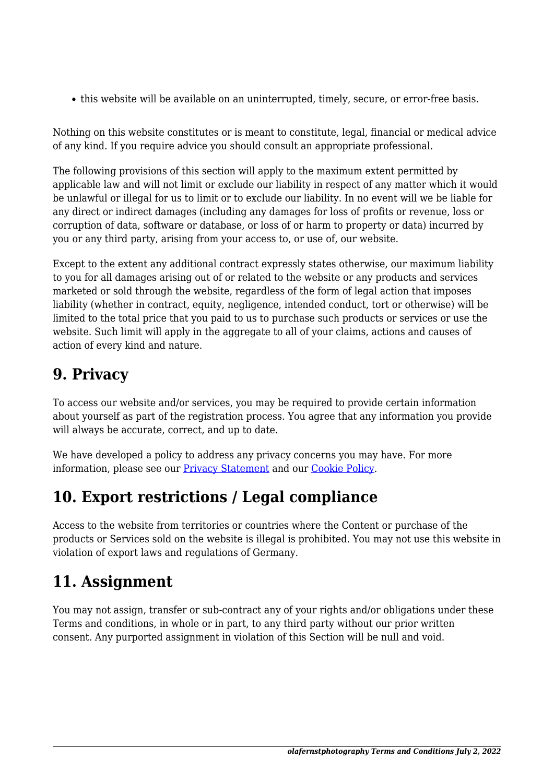this website will be available on an uninterrupted, timely, secure, or error-free basis.

Nothing on this website constitutes or is meant to constitute, legal, financial or medical advice of any kind. If you require advice you should consult an appropriate professional.

The following provisions of this section will apply to the maximum extent permitted by applicable law and will not limit or exclude our liability in respect of any matter which it would be unlawful or illegal for us to limit or to exclude our liability. In no event will we be liable for any direct or indirect damages (including any damages for loss of profits or revenue, loss or corruption of data, software or database, or loss of or harm to property or data) incurred by you or any third party, arising from your access to, or use of, our website.

Except to the extent any additional contract expressly states otherwise, our maximum liability to you for all damages arising out of or related to the website or any products and services marketed or sold through the website, regardless of the form of legal action that imposes liability (whether in contract, equity, negligence, intended conduct, tort or otherwise) will be limited to the total price that you paid to us to purchase such products or services or use the website. Such limit will apply in the aggregate to all of your claims, actions and causes of action of every kind and nature.

#### **9. Privacy**

To access our website and/or services, you may be required to provide certain information about yourself as part of the registration process. You agree that any information you provide will always be accurate, correct, and up to date.

We have developed a policy to address any privacy concerns you may have. For more information, please see our **Privacy Statement** and our **Cookie Policy**.

#### **10. Export restrictions / Legal compliance**

Access to the website from territories or countries where the Content or purchase of the products or Services sold on the website is illegal is prohibited. You may not use this website in violation of export laws and regulations of Germany.

## **11. Assignment**

You may not assign, transfer or sub-contract any of your rights and/or obligations under these Terms and conditions, in whole or in part, to any third party without our prior written consent. Any purported assignment in violation of this Section will be null and void.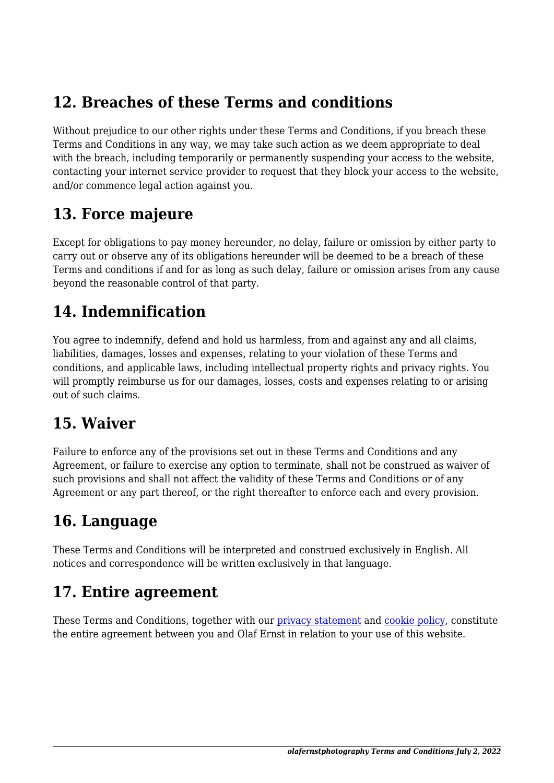#### **12. Breaches of these Terms and conditions**

Without prejudice to our other rights under these Terms and Conditions, if you breach these Terms and Conditions in any way, we may take such action as we deem appropriate to deal with the breach, including temporarily or permanently suspending your access to the website, contacting your internet service provider to request that they block your access to the website, and/or commence legal action against you.

#### **13. Force majeure**

Except for obligations to pay money hereunder, no delay, failure or omission by either party to carry out or observe any of its obligations hereunder will be deemed to be a breach of these Terms and conditions if and for as long as such delay, failure or omission arises from any cause beyond the reasonable control of that party.

#### **14. Indemnification**

You agree to indemnify, defend and hold us harmless, from and against any and all claims, liabilities, damages, losses and expenses, relating to your violation of these Terms and conditions, and applicable laws, including intellectual property rights and privacy rights. You will promptly reimburse us for our damages, losses, costs and expenses relating to or arising out of such claims.

#### **15. Waiver**

Failure to enforce any of the provisions set out in these Terms and Conditions and any Agreement, or failure to exercise any option to terminate, shall not be construed as waiver of such provisions and shall not affect the validity of these Terms and Conditions or of any Agreement or any part thereof, or the right thereafter to enforce each and every provision.

#### **16. Language**

These Terms and Conditions will be interpreted and construed exclusively in English. All notices and correspondence will be written exclusively in that language.

#### **17. Entire agreement**

These Terms and Conditions, together with our privacy statement and cookie policy, constitute the entire agreement between you and Olaf Ernst in relation to your use of this website.